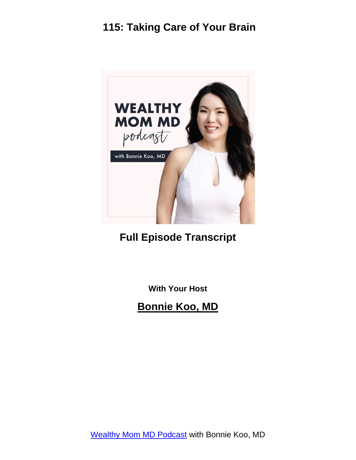

#### **Full Episode Transcript**

**With Your Host**

**Bonnie Koo, MD**

[Wealthy Mom MD Podcast](https://wealthymommd.com/podcast/) with Bonnie Koo, MD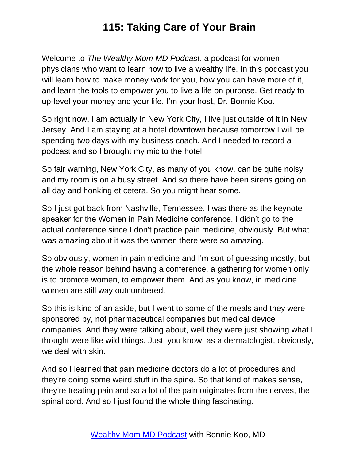Welcome to *The Wealthy Mom MD Podcast*, a podcast for women physicians who want to learn how to live a wealthy life. In this podcast you will learn how to make money work for you, how you can have more of it, and learn the tools to empower you to live a life on purpose. Get ready to up-level your money and your life. I'm your host, Dr. Bonnie Koo.

So right now, I am actually in New York City, I live just outside of it in New Jersey. And I am staying at a hotel downtown because tomorrow I will be spending two days with my business coach. And I needed to record a podcast and so I brought my mic to the hotel.

So fair warning, New York City, as many of you know, can be quite noisy and my room is on a busy street. And so there have been sirens going on all day and honking et cetera. So you might hear some.

So I just got back from Nashville, Tennessee, I was there as the keynote speaker for the Women in Pain Medicine conference. I didn't go to the actual conference since I don't practice pain medicine, obviously. But what was amazing about it was the women there were so amazing.

So obviously, women in pain medicine and I'm sort of guessing mostly, but the whole reason behind having a conference, a gathering for women only is to promote women, to empower them. And as you know, in medicine women are still way outnumbered.

So this is kind of an aside, but I went to some of the meals and they were sponsored by, not pharmaceutical companies but medical device companies. And they were talking about, well they were just showing what I thought were like wild things. Just, you know, as a dermatologist, obviously, we deal with skin.

And so I learned that pain medicine doctors do a lot of procedures and they're doing some weird stuff in the spine. So that kind of makes sense, they're treating pain and so a lot of the pain originates from the nerves, the spinal cord. And so I just found the whole thing fascinating.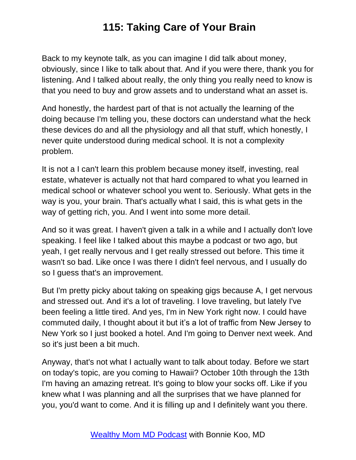Back to my keynote talk, as you can imagine I did talk about money, obviously, since I like to talk about that. And if you were there, thank you for listening. And I talked about really, the only thing you really need to know is that you need to buy and grow assets and to understand what an asset is.

And honestly, the hardest part of that is not actually the learning of the doing because I'm telling you, these doctors can understand what the heck these devices do and all the physiology and all that stuff, which honestly, I never quite understood during medical school. It is not a complexity problem.

It is not a I can't learn this problem because money itself, investing, real estate, whatever is actually not that hard compared to what you learned in medical school or whatever school you went to. Seriously. What gets in the way is you, your brain. That's actually what I said, this is what gets in the way of getting rich, you. And I went into some more detail.

And so it was great. I haven't given a talk in a while and I actually don't love speaking. I feel like I talked about this maybe a podcast or two ago, but yeah, I get really nervous and I get really stressed out before. This time it wasn't so bad. Like once I was there I didn't feel nervous, and I usually do so I guess that's an improvement.

But I'm pretty picky about taking on speaking gigs because A, I get nervous and stressed out. And it's a lot of traveling. I love traveling, but lately I've been feeling a little tired. And yes, I'm in New York right now. I could have commuted daily, I thought about it but it's a lot of traffic from New Jersey to New York so I just booked a hotel. And I'm going to Denver next week. And so it's just been a bit much.

Anyway, that's not what I actually want to talk about today. Before we start on today's topic, are you coming to Hawaii? October 10th through the 13th I'm having an amazing retreat. It's going to blow your socks off. Like if you knew what I was planning and all the surprises that we have planned for you, you'd want to come. And it is filling up and I definitely want you there.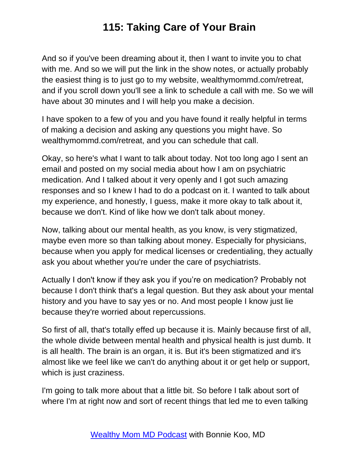And so if you've been dreaming about it, then I want to invite you to chat with me. And so we will put the link in the show notes, or actually probably the easiest thing is to just go to my website, wealthymommd.com/retreat, and if you scroll down you'll see a link to schedule a call with me. So we will have about 30 minutes and I will help you make a decision.

I have spoken to a few of you and you have found it really helpful in terms of making a decision and asking any questions you might have. So wealthymommd.com/retreat, and you can schedule that call.

Okay, so here's what I want to talk about today. Not too long ago I sent an email and posted on my social media about how I am on psychiatric medication. And I talked about it very openly and I got such amazing responses and so I knew I had to do a podcast on it. I wanted to talk about my experience, and honestly, I guess, make it more okay to talk about it, because we don't. Kind of like how we don't talk about money.

Now, talking about our mental health, as you know, is very stigmatized, maybe even more so than talking about money. Especially for physicians, because when you apply for medical licenses or credentialing, they actually ask you about whether you're under the care of psychiatrists.

Actually I don't know if they ask you if you're on medication? Probably not because I don't think that's a legal question. But they ask about your mental history and you have to say yes or no. And most people I know just lie because they're worried about repercussions.

So first of all, that's totally effed up because it is. Mainly because first of all, the whole divide between mental health and physical health is just dumb. It is all health. The brain is an organ, it is. But it's been stigmatized and it's almost like we feel like we can't do anything about it or get help or support, which is just craziness.

I'm going to talk more about that a little bit. So before I talk about sort of where I'm at right now and sort of recent things that led me to even talking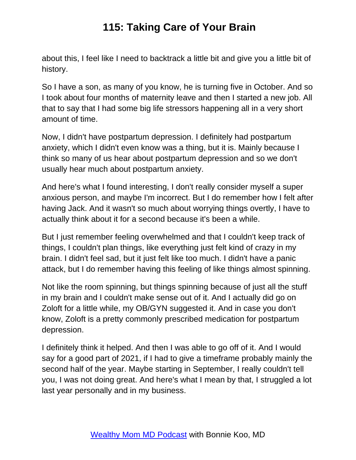about this, I feel like I need to backtrack a little bit and give you a little bit of history.

So I have a son, as many of you know, he is turning five in October. And so I took about four months of maternity leave and then I started a new job. All that to say that I had some big life stressors happening all in a very short amount of time.

Now, I didn't have postpartum depression. I definitely had postpartum anxiety, which I didn't even know was a thing, but it is. Mainly because I think so many of us hear about postpartum depression and so we don't usually hear much about postpartum anxiety.

And here's what I found interesting, I don't really consider myself a super anxious person, and maybe I'm incorrect. But I do remember how I felt after having Jack. And it wasn't so much about worrying things overtly, I have to actually think about it for a second because it's been a while.

But I just remember feeling overwhelmed and that I couldn't keep track of things, I couldn't plan things, like everything just felt kind of crazy in my brain. I didn't feel sad, but it just felt like too much. I didn't have a panic attack, but I do remember having this feeling of like things almost spinning.

Not like the room spinning, but things spinning because of just all the stuff in my brain and I couldn't make sense out of it. And I actually did go on Zoloft for a little while, my OB/GYN suggested it. And in case you don't know, Zoloft is a pretty commonly prescribed medication for postpartum depression.

I definitely think it helped. And then I was able to go off of it. And I would say for a good part of 2021, if I had to give a timeframe probably mainly the second half of the year. Maybe starting in September, I really couldn't tell you, I was not doing great. And here's what I mean by that, I struggled a lot last year personally and in my business.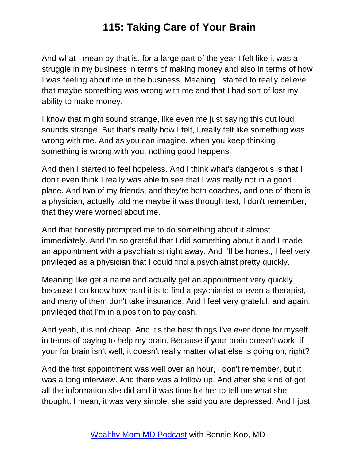And what I mean by that is, for a large part of the year I felt like it was a struggle in my business in terms of making money and also in terms of how I was feeling about me in the business. Meaning I started to really believe that maybe something was wrong with me and that I had sort of lost my ability to make money.

I know that might sound strange, like even me just saying this out loud sounds strange. But that's really how I felt, I really felt like something was wrong with me. And as you can imagine, when you keep thinking something is wrong with you, nothing good happens.

And then I started to feel hopeless. And I think what's dangerous is that I don't even think I really was able to see that I was really not in a good place. And two of my friends, and they're both coaches, and one of them is a physician, actually told me maybe it was through text, I don't remember, that they were worried about me.

And that honestly prompted me to do something about it almost immediately. And I'm so grateful that I did something about it and I made an appointment with a psychiatrist right away. And I'll be honest, I feel very privileged as a physician that I could find a psychiatrist pretty quickly.

Meaning like get a name and actually get an appointment very quickly, because I do know how hard it is to find a psychiatrist or even a therapist, and many of them don't take insurance. And I feel very grateful, and again, privileged that I'm in a position to pay cash.

And yeah, it is not cheap. And it's the best things I've ever done for myself in terms of paying to help my brain. Because if your brain doesn't work, if your for brain isn't well, it doesn't really matter what else is going on, right?

And the first appointment was well over an hour, I don't remember, but it was a long interview. And there was a follow up. And after she kind of got all the information she did and it was time for her to tell me what she thought, I mean, it was very simple, she said you are depressed. And I just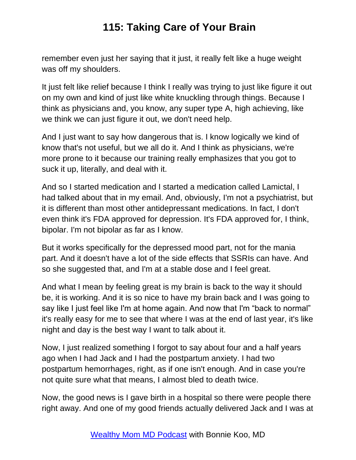remember even just her saying that it just, it really felt like a huge weight was off my shoulders.

It just felt like relief because I think I really was trying to just like figure it out on my own and kind of just like white knuckling through things. Because I think as physicians and, you know, any super type A, high achieving, like we think we can just figure it out, we don't need help.

And I just want to say how dangerous that is. I know logically we kind of know that's not useful, but we all do it. And I think as physicians, we're more prone to it because our training really emphasizes that you got to suck it up, literally, and deal with it.

And so I started medication and I started a medication called Lamictal, I had talked about that in my email. And, obviously, I'm not a psychiatrist, but it is different than most other antidepressant medications. In fact, I don't even think it's FDA approved for depression. It's FDA approved for, I think, bipolar. I'm not bipolar as far as I know.

But it works specifically for the depressed mood part, not for the mania part. And it doesn't have a lot of the side effects that SSRIs can have. And so she suggested that, and I'm at a stable dose and I feel great.

And what I mean by feeling great is my brain is back to the way it should be, it is working. And it is so nice to have my brain back and I was going to say like I just feel like I'm at home again. And now that I'm "back to normal" it's really easy for me to see that where I was at the end of last year, it's like night and day is the best way I want to talk about it.

Now, I just realized something I forgot to say about four and a half years ago when I had Jack and I had the postpartum anxiety. I had two postpartum hemorrhages, right, as if one isn't enough. And in case you're not quite sure what that means, I almost bled to death twice.

Now, the good news is I gave birth in a hospital so there were people there right away. And one of my good friends actually delivered Jack and I was at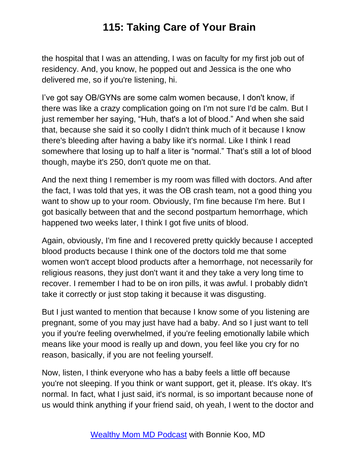the hospital that I was an attending, I was on faculty for my first job out of residency. And, you know, he popped out and Jessica is the one who delivered me, so if you're listening, hi.

I've got say OB/GYNs are some calm women because, I don't know, if there was like a crazy complication going on I'm not sure I'd be calm. But I just remember her saying, "Huh, that's a lot of blood." And when she said that, because she said it so coolly I didn't think much of it because I know there's bleeding after having a baby like it's normal. Like I think I read somewhere that losing up to half a liter is "normal." That's still a lot of blood though, maybe it's 250, don't quote me on that.

And the next thing I remember is my room was filled with doctors. And after the fact, I was told that yes, it was the OB crash team, not a good thing you want to show up to your room. Obviously, I'm fine because I'm here. But I got basically between that and the second postpartum hemorrhage, which happened two weeks later, I think I got five units of blood.

Again, obviously, I'm fine and I recovered pretty quickly because I accepted blood products because I think one of the doctors told me that some women won't accept blood products after a hemorrhage, not necessarily for religious reasons, they just don't want it and they take a very long time to recover. I remember I had to be on iron pills, it was awful. I probably didn't take it correctly or just stop taking it because it was disgusting.

But I just wanted to mention that because I know some of you listening are pregnant, some of you may just have had a baby. And so I just want to tell you if you're feeling overwhelmed, if you're feeling emotionally labile which means like your mood is really up and down, you feel like you cry for no reason, basically, if you are not feeling yourself.

Now, listen, I think everyone who has a baby feels a little off because you're not sleeping. If you think or want support, get it, please. It's okay. It's normal. In fact, what I just said, it's normal, is so important because none of us would think anything if your friend said, oh yeah, I went to the doctor and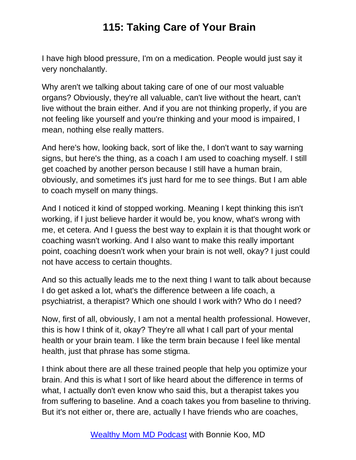I have high blood pressure, I'm on a medication. People would just say it very nonchalantly.

Why aren't we talking about taking care of one of our most valuable organs? Obviously, they're all valuable, can't live without the heart, can't live without the brain either. And if you are not thinking properly, if you are not feeling like yourself and you're thinking and your mood is impaired, I mean, nothing else really matters.

And here's how, looking back, sort of like the, I don't want to say warning signs, but here's the thing, as a coach I am used to coaching myself. I still get coached by another person because I still have a human brain, obviously, and sometimes it's just hard for me to see things. But I am able to coach myself on many things.

And I noticed it kind of stopped working. Meaning I kept thinking this isn't working, if I just believe harder it would be, you know, what's wrong with me, et cetera. And I guess the best way to explain it is that thought work or coaching wasn't working. And I also want to make this really important point, coaching doesn't work when your brain is not well, okay? I just could not have access to certain thoughts.

And so this actually leads me to the next thing I want to talk about because I do get asked a lot, what's the difference between a life coach, a psychiatrist, a therapist? Which one should I work with? Who do I need?

Now, first of all, obviously, I am not a mental health professional. However, this is how I think of it, okay? They're all what I call part of your mental health or your brain team. I like the term brain because I feel like mental health, just that phrase has some stigma.

I think about there are all these trained people that help you optimize your brain. And this is what I sort of like heard about the difference in terms of what, I actually don't even know who said this, but a therapist takes you from suffering to baseline. And a coach takes you from baseline to thriving. But it's not either or, there are, actually I have friends who are coaches,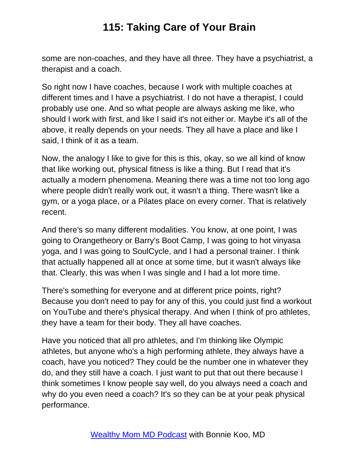some are non-coaches, and they have all three. They have a psychiatrist, a therapist and a coach.

So right now I have coaches, because I work with multiple coaches at different times and I have a psychiatrist. I do not have a therapist, I could probably use one. And so what people are always asking me like, who should I work with first, and like I said it's not either or. Maybe it's all of the above, it really depends on your needs. They all have a place and like I said, I think of it as a team.

Now, the analogy I like to give for this is this, okay, so we all kind of know that like working out, physical fitness is like a thing. But I read that it's actually a modern phenomena. Meaning there was a time not too long ago where people didn't really work out, it wasn't a thing. There wasn't like a gym, or a yoga place, or a Pilates place on every corner. That is relatively recent.

And there's so many different modalities. You know, at one point, I was going to Orangetheory or Barry's Boot Camp, I was going to hot vinyasa yoga, and I was going to SoulCycle, and I had a personal trainer. I think that actually happened all at once at some time, but it wasn't always like that. Clearly, this was when I was single and I had a lot more time.

There's something for everyone and at different price points, right? Because you don't need to pay for any of this, you could just find a workout on YouTube and there's physical therapy. And when I think of pro athletes, they have a team for their body. They all have coaches.

Have you noticed that all pro athletes, and I'm thinking like Olympic athletes, but anyone who's a high performing athlete, they always have a coach, have you noticed? They could be the number one in whatever they do, and they still have a coach. I just want to put that out there because I think sometimes I know people say well, do you always need a coach and why do you even need a coach? It's so they can be at your peak physical performance.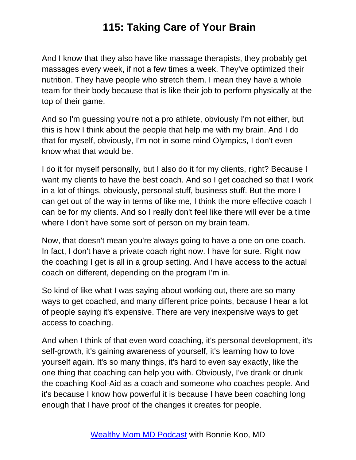And I know that they also have like massage therapists, they probably get massages every week, if not a few times a week. They've optimized their nutrition. They have people who stretch them. I mean they have a whole team for their body because that is like their job to perform physically at the top of their game.

And so I'm guessing you're not a pro athlete, obviously I'm not either, but this is how I think about the people that help me with my brain. And I do that for myself, obviously, I'm not in some mind Olympics, I don't even know what that would be.

I do it for myself personally, but I also do it for my clients, right? Because I want my clients to have the best coach. And so I get coached so that I work in a lot of things, obviously, personal stuff, business stuff. But the more I can get out of the way in terms of like me, I think the more effective coach I can be for my clients. And so I really don't feel like there will ever be a time where I don't have some sort of person on my brain team.

Now, that doesn't mean you're always going to have a one on one coach. In fact, I don't have a private coach right now. I have for sure. Right now the coaching I get is all in a group setting. And I have access to the actual coach on different, depending on the program I'm in.

So kind of like what I was saying about working out, there are so many ways to get coached, and many different price points, because I hear a lot of people saying it's expensive. There are very inexpensive ways to get access to coaching.

And when I think of that even word coaching, it's personal development, it's self-growth, it's gaining awareness of yourself, it's learning how to love yourself again. It's so many things, it's hard to even say exactly, like the one thing that coaching can help you with. Obviously, I've drank or drunk the coaching Kool-Aid as a coach and someone who coaches people. And it's because I know how powerful it is because I have been coaching long enough that I have proof of the changes it creates for people.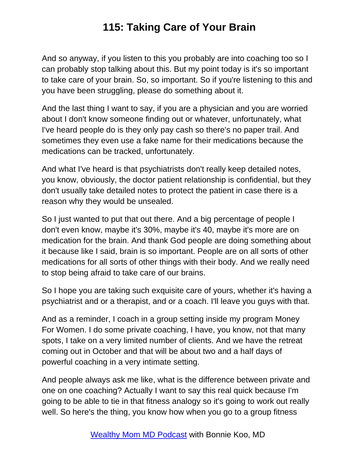And so anyway, if you listen to this you probably are into coaching too so I can probably stop talking about this. But my point today is it's so important to take care of your brain. So, so important. So if you're listening to this and you have been struggling, please do something about it.

And the last thing I want to say, if you are a physician and you are worried about I don't know someone finding out or whatever, unfortunately, what I've heard people do is they only pay cash so there's no paper trail. And sometimes they even use a fake name for their medications because the medications can be tracked, unfortunately.

And what I've heard is that psychiatrists don't really keep detailed notes, you know, obviously, the doctor patient relationship is confidential, but they don't usually take detailed notes to protect the patient in case there is a reason why they would be unsealed.

So I just wanted to put that out there. And a big percentage of people I don't even know, maybe it's 30%, maybe it's 40, maybe it's more are on medication for the brain. And thank God people are doing something about it because like I said, brain is so important. People are on all sorts of other medications for all sorts of other things with their body. And we really need to stop being afraid to take care of our brains.

So I hope you are taking such exquisite care of yours, whether it's having a psychiatrist and or a therapist, and or a coach. I'll leave you guys with that.

And as a reminder, I coach in a group setting inside my program Money For Women. I do some private coaching, I have, you know, not that many spots, I take on a very limited number of clients. And we have the retreat coming out in October and that will be about two and a half days of powerful coaching in a very intimate setting.

And people always ask me like, what is the difference between private and one on one coaching? Actually I want to say this real quick because I'm going to be able to tie in that fitness analogy so it's going to work out really well. So here's the thing, you know how when you go to a group fitness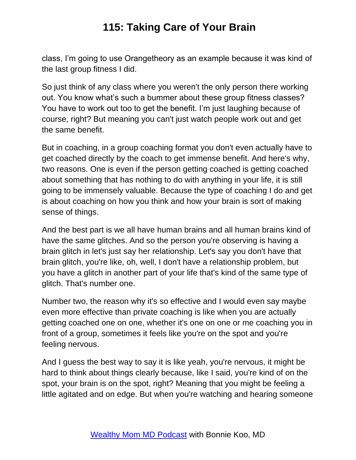class, I'm going to use Orangetheory as an example because it was kind of the last group fitness I did.

So just think of any class where you weren't the only person there working out. You know what's such a bummer about these group fitness classes? You have to work out too to get the benefit. I'm just laughing because of course, right? But meaning you can't just watch people work out and get the same benefit.

But in coaching, in a group coaching format you don't even actually have to get coached directly by the coach to get immense benefit. And here's why, two reasons. One is even if the person getting coached is getting coached about something that has nothing to do with anything in your life, it is still going to be immensely valuable. Because the type of coaching I do and get is about coaching on how you think and how your brain is sort of making sense of things.

And the best part is we all have human brains and all human brains kind of have the same glitches. And so the person you're observing is having a brain glitch in let's just say her relationship. Let's say you don't have that brain glitch, you're like, oh, well, I don't have a relationship problem, but you have a glitch in another part of your life that's kind of the same type of glitch. That's number one.

Number two, the reason why it's so effective and I would even say maybe even more effective than private coaching is like when you are actually getting coached one on one, whether it's one on one or me coaching you in front of a group, sometimes it feels like you're on the spot and you're feeling nervous.

And I guess the best way to say it is like yeah, you're nervous, it might be hard to think about things clearly because, like I said, you're kind of on the spot, your brain is on the spot, right? Meaning that you might be feeling a little agitated and on edge. But when you're watching and hearing someone